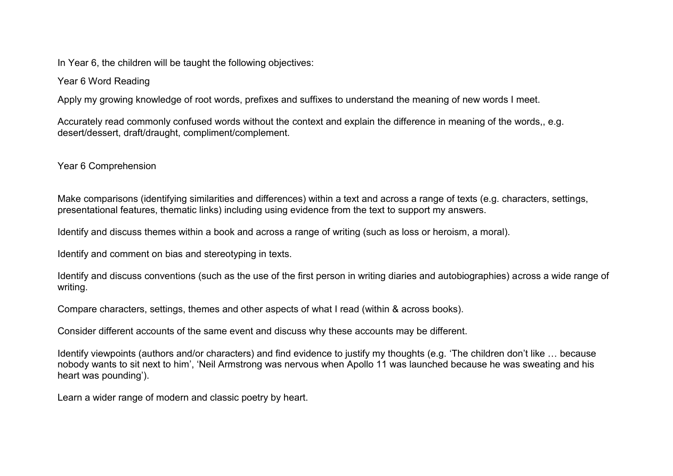In Year 6, the children will be taught the following objectives:

## Year 6 Word Reading

Apply my growing knowledge of root words, prefixes and suffixes to understand the meaning of new words I meet.

Accurately read commonly confused words without the context and explain the difference in meaning of the words,, e.g. desert/dessert, draft/draught, compliment/complement.

Year 6 Comprehension

Make comparisons (identifying similarities and differences) within a text and across a range of texts (e.g. characters, settings, presentational features, thematic links) including using evidence from the text to support my answers.

Identify and discuss themes within a book and across a range of writing (such as loss or heroism, a moral).

Identify and comment on bias and stereotyping in texts.

Identify and discuss conventions (such as the use of the first person in writing diaries and autobiographies) across a wide range of writing.

Compare characters, settings, themes and other aspects of what I read (within & across books).

Consider different accounts of the same event and discuss why these accounts may be different.

Identify viewpoints (authors and/or characters) and find evidence to justify my thoughts (e.g. 'The children don't like … because nobody wants to sit next to him', 'Neil Armstrong was nervous when Apollo 11 was launched because he was sweating and his heart was pounding').

Learn a wider range of modern and classic poetry by heart.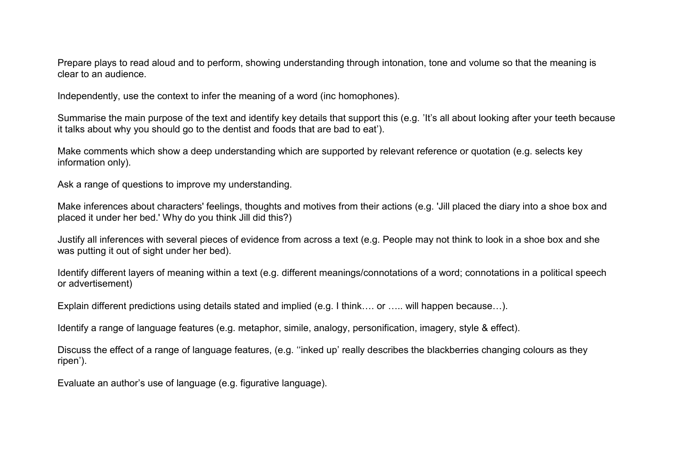Prepare plays to read aloud and to perform, showing understanding through intonation, tone and volume so that the meaning is clear to an audience.

Independently, use the context to infer the meaning of a word (inc homophones).

Summarise the main purpose of the text and identify key details that support this (e.g. 'It's all about looking after your teeth because it talks about why you should go to the dentist and foods that are bad to eat').

Make comments which show a deep understanding which are supported by relevant reference or quotation (e.g. selects key information only).

Ask a range of questions to improve my understanding.

Make inferences about characters' feelings, thoughts and motives from their actions (e.g. 'Jill placed the diary into a shoe box and placed it under her bed.' Why do you think Jill did this?)

Justify all inferences with several pieces of evidence from across a text (e.g. People may not think to look in a shoe box and she was putting it out of sight under her bed).

Identify different layers of meaning within a text (e.g. different meanings/connotations of a word; connotations in a political speech or advertisement)

Explain different predictions using details stated and implied (e.g. I think…. or ….. will happen because…).

Identify a range of language features (e.g. metaphor, simile, analogy, personification, imagery, style & effect).

Discuss the effect of a range of language features, (e.g. ''inked up' really describes the blackberries changing colours as they ripen').

Evaluate an author's use of language (e.g. figurative language).